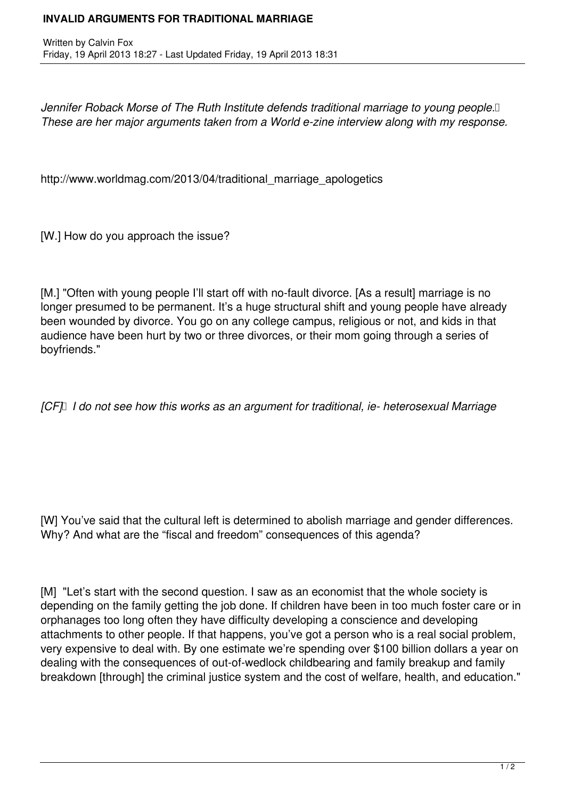## **INVALID ARGUMENTS FOR TRADITIONAL MARRIAGE**

Written by Calvin Fox Friday, 19 April 2013 18:27 - Last Updated Friday, 19 April 2013 18:31

Jennifer Roback Morse of The Ruth Institute defends traditional marriage to young people.<sup>[]</sup> *These are her major arguments taken from a World e-zine interview along with my response.*

http://www.worldmag.com/2013/04/traditional marriage apologetics

[W.] How do you approach the issue?

[M.] "Often with young people I'll start off with no-fault divorce. [As a result] marriage is no longer presumed to be permanent. It's a huge structural shift and young people have already been wounded by divorce. You go on any college campus, religious or not, and kids in that audience have been hurt by two or three divorces, or their mom going through a series of boyfriends."

*[CF] I do not see how this works as an argument for traditional, ie- heterosexual Marriage* 

[W] You've said that the cultural left is determined to abolish marriage and gender differences. Why? And what are the "fiscal and freedom" consequences of this agenda?

[M] "Let's start with the second question. I saw as an economist that the whole society is depending on the family getting the job done. If children have been in too much foster care or in orphanages too long often they have difficulty developing a conscience and developing attachments to other people. If that happens, you've got a person who is a real social problem, very expensive to deal with. By one estimate we're spending over \$100 billion dollars a year on dealing with the consequences of out-of-wedlock childbearing and family breakup and family breakdown [through] the criminal justice system and the cost of welfare, health, and education."